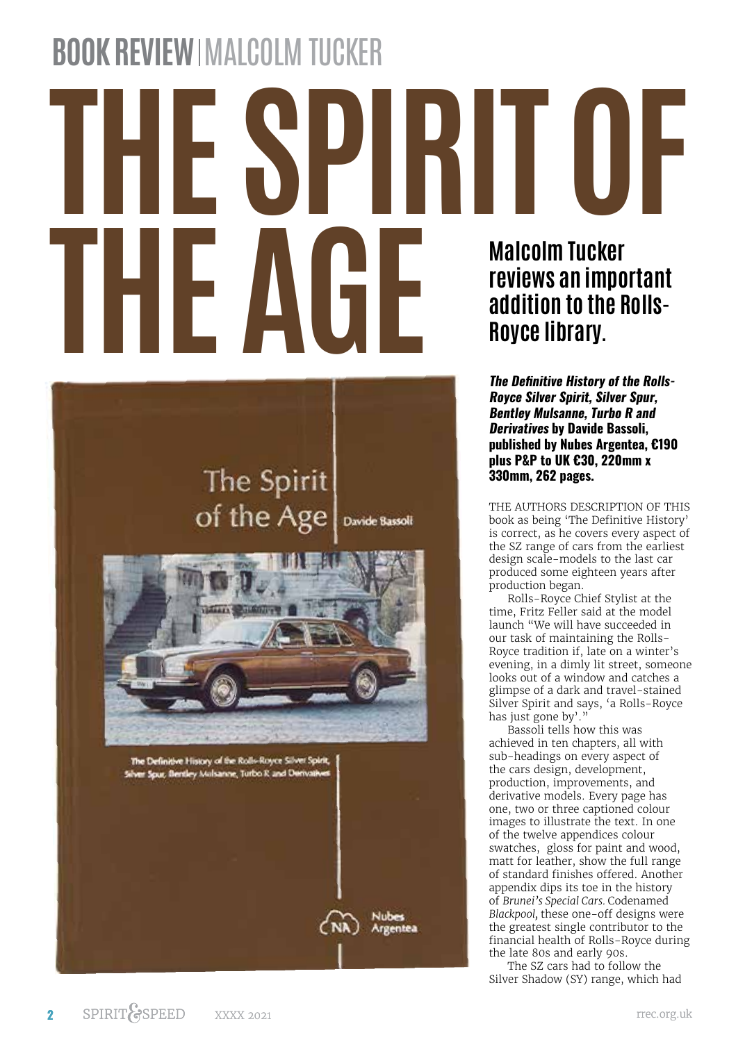## **BOOK REVIEW IMALCOLM TUCKER**

## **THE SPIRIT OF THE AGE Malcolm Tucker reviews an important addition to the Rolls-Royce library.**

## The Spirit of the Age Davide Bassoli

The Definitive History of the Rolls-Royce Silver Spirit, Silver Spur, Bentley Mulsanne, Turbo R and Derivati **Argentea** 

**The Definitive History of the Rolls-Royce Silver Spirit, Silver Spur, Bentley Mulsanne, Turbo R and Derivatives by Davide Bassoli, published by Nubes Argentea, €190 plus P&P to UK €30, 220mm x 330mm, 262 pages.**

THE AUTHORS DESCRIPTION OF THIS book as being 'The Definitive History' is correct, as he covers every aspect of the SZ range of cars from the earliest design scale-models to the last car produced some eighteen years after production began.

Rolls-Royce Chief Stylist at the time, Fritz Feller said at the model launch "We will have succeeded in our task of maintaining the Rolls-Royce tradition if, late on a winter's evening, in a dimly lit street, someone looks out of a window and catches a glimpse of a dark and travel-stained Silver Spirit and says, 'a Rolls-Royce has just gone by'."

Bassoli tells how this was achieved in ten chapters, all with sub-headings on every aspect of the cars design, development, production, improvements, and derivative models. Every page has one, two or three captioned colour images to illustrate the text. In one of the twelve appendices colour swatches, gloss for paint and wood, matt for leather, show the full range of standard finishes offered. Another appendix dips its toe in the history of *Brunei's Special Cars.* Codenamed *Blackpool,* these one-off designs were the greatest single contributor to the financial health of Rolls-Royce during the late 80s and early 90s.

The SZ cars had to follow the Silver Shadow (SY) range, which had